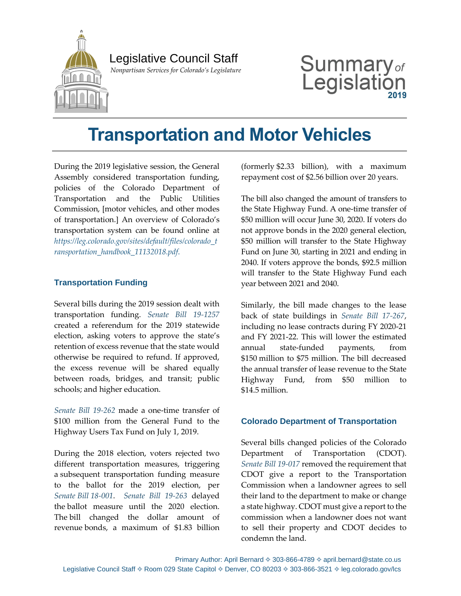

## Legislative Council Staff

 *Nonpartisan Services for Colorado's Legislature*

# Summary $_{\textit{of}}$ Legislat

## **Transportation and Motor Vehicles**

During the 2019 legislative session, the General Assembly considered transportation funding, policies of the Colorado Department of Transportation and the Public Utilities Commission, [motor vehicles, and other modes of transportation.] An overview of Colorado's transportation system can be found online at *[https://leg.colorado.gov/sites/default/files/colorado\\_t](https://leg.colorado.gov/sites/default/files/colorado_t%20ransportation_handbook_11132018.pdf)  [ransportation\\_handbook\\_11132018.pdf](https://leg.colorado.gov/sites/default/files/colorado_t%20ransportation_handbook_11132018.pdf)*.

## **Transportation Funding**

Several bills during the 2019 session dealt with transportation funding. *[Senate Bill 19-1257](https://leg.colorado.gov/bills/hb19-1257)* created a referendum for the 2019 statewide election, asking voters to approve the state's retention of excess revenue that the state would otherwise be required to refund. If approved, the excess revenue will be shared equally between roads, bridges, and transit; public schools; and higher education.

*[Senate Bill 19-262](https://leg.colorado.gov/bills/sb19-262)* made a one-time transfer of \$100 million from the General Fund to the Highway Users Tax Fund on July 1, 2019.

During the 2018 election, voters rejected two different transportation measures, triggering a subsequent transportation funding measure to the ballot for the 2019 election, per *Senate Bill [18-001](https://leg.colorado.gov/bills/sb18-001)*. *[Senate Bill 19-263](https://leg.colorado.gov/bills/sb19-263)* delayed the ballot measure until the 2020 election. The bill changed the dollar amount of revenue bonds, a maximum of \$1.83 billion

(formerly \$2.33 billion), with a maximum repayment cost of \$2.56 billion over 20 years.

The bill also changed the amount of transfers to the State Highway Fund. A one-time transfer of \$50 million will occur June 30, 2020. If voters do not approve bonds in the 2020 general election, \$50 million will transfer to the State Highway Fund on June 30, starting in 2021 and ending in 2040. If voters approve the bonds, \$92.5 million will transfer to the State Highway Fund each year between 2021 and 2040.

Similarly, the bill made changes to the lease back of state buildings in *[Senate Bill 17-267](https://leg.colorado.gov/bills/sb17-267)*, including no lease contracts during FY 2020-21 and FY 2021-22. This will lower the estimated annual state-funded payments, from \$150 million to \$75 million. The bill decreased the annual transfer of lease revenue to the State Highway Fund, from \$50 million to \$14.5 million.

### **Colorado Department of Transportation**

Several bills changed policies of the Colorado Department of Transportation (CDOT). *Senate [Bill 19-017](https://leg.colorado.gov/bills/sb19-017)* removed the requirement that CDOT give a report to the Transportation Commission when a landowner agrees to sell their land to the department to make or change a state highway. CDOT must give a report to the commission when a landowner does not want to sell their property and CDOT decides to condemn the land.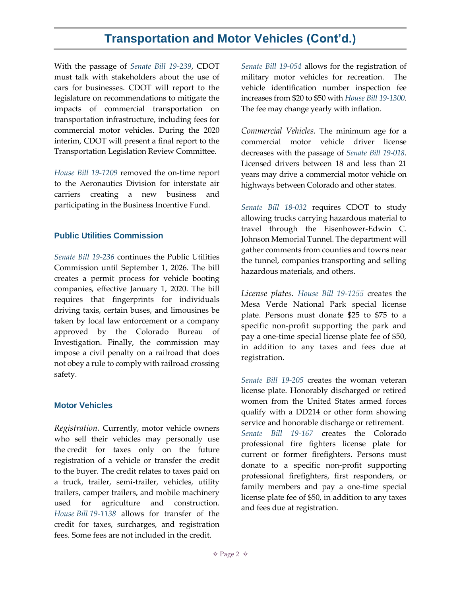## **Transportation and Motor Vehicles (Cont'd.)**

With the passage of *[Senate Bill 19-239](https://leg.colorado.gov/bills/sb19-239)*, CDOT must talk with stakeholders about the use of cars for businesses. CDOT will report to the legislature on recommendations to mitigate the impacts of commercial transportation on transportation infrastructure, including fees for commercial motor vehicles. During the 2020 interim, CDOT will present a final report to the Transportation Legislation Review Committee.

*[House Bill 19-1209](https://leg.colorado.gov/bills/hb19-1209)* removed the on-time report to the Aeronautics Division for interstate air carriers creating a new business and participating in the Business Incentive Fund.

### **Public Utilities Commission**

*[Senate Bill 19-236](https://leg.colorado.gov/bills/sb19-236)* continues the Public Utilities Commission until September 1, 2026. The bill creates a permit process for vehicle booting companies, effective January 1, 2020. The bill requires that fingerprints for individuals driving taxis, certain buses, and limousines be taken by local law enforcement or a company approved by the Colorado Bureau of Investigation. Finally, the commission may impose a civil penalty on a railroad that does not obey a rule to comply with railroad crossing safety.

### **Motor Vehicles**

*Registration.* Currently, motor vehicle owners who sell their vehicles may personally use the credit for taxes only on the future registration of a vehicle or transfer the credit to the buyer. The credit relates to taxes paid on a truck, trailer, semi-trailer, vehicles, utility trailers, camper trailers, and mobile machinery used for agriculture and construction. *House Bill [19-1138](https://leg.colorado.gov/bills/hb19-1138)* allows for transfer of the credit for taxes, surcharges, and registration fees. Some fees are not included in the credit.

*[Senate Bill 19-054](https://leg.colorado.gov/bills/sb19-054)* allows for the registration of military motor vehicles for recreation. The vehicle identification number inspection fee increases from \$20 to \$50 with *[House Bill 19-1300](https://leg.colorado.gov/bills/hb19-1300)*. The fee may change yearly with inflation.

*Commercial Vehicles.* The minimum age for a commercial motor vehicle driver license decreases with the passage of *[Senate Bill 19-018](https://leg.colorado.gov/bills/sb19-018)*. Licensed drivers between 18 and less than 21 years may drive a commercial motor vehicle on highways between Colorado and other states.

*[Senate Bill 18-032](https://leg.colorado.gov/bills/sb18-032)* requires CDOT to study allowing trucks carrying hazardous material to travel through the Eisenhower-Edwin C. Johnson Memorial Tunnel. The department will gather comments from counties and towns near the tunnel, companies transporting and selling hazardous materials, and others.

*License plates. [House Bill 19-1255](https://leg.colorado.gov/bills/hb19-1255)* creates the Mesa Verde National Park special license plate. Persons must donate \$25 to \$75 to a specific non-profit supporting the park and pay a one-time special license plate fee of \$50, in addition to any taxes and fees due at registration.

*[Senate Bill 19-205](https://leg.colorado.gov/bills/sb19-205)* creates the woman veteran license plate. Honorably discharged or retired women from the United States armed forces qualify with a DD214 or other form showing service and honorable discharge or retirement. *[Senate Bill 19-167](https://leg.colorado.gov/bills/sb19-167)* creates the Colorado professional fire fighters license plate for current or former firefighters. Persons must donate to a specific non-profit supporting professional firefighters, first responders, or family members and pay a one-time special license plate fee of \$50, in addition to any taxes and fees due at registration.